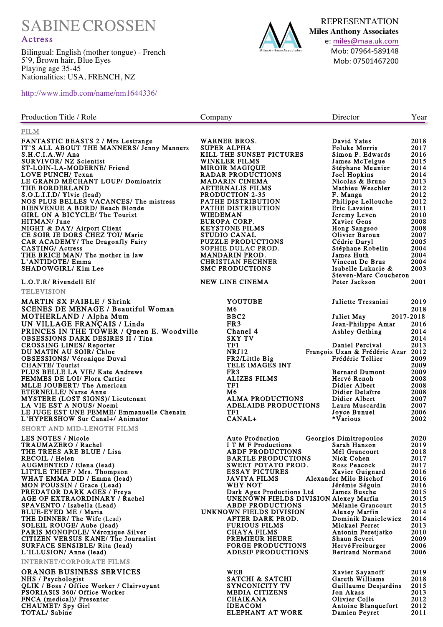SABINECROSSEN

## Actress

Bilingual: English (mother tongue) - French 5'9, Brown hair, Blue Eyes Playing age 35-45 Nationalities: USA, FRENCH, NZ



REPRESENTATION **Miles Anthony Associates** e: miles@maa.uk.com Mob: 07964-589148 Mob: 07501467200

http://www.imdb.com/name/nm1644336/

| Production Title / Role                                                                                                                                                                                                                                                                                                                                                                                                                                                                                                                                                                                                                                                                                 | Company  |                                                                                                                                                                                                                                                                                                                                                                                                                                                                        | Director                                                                                                                                                                                                                                                                                                                                                    | Year                                                                                                                                                 |
|---------------------------------------------------------------------------------------------------------------------------------------------------------------------------------------------------------------------------------------------------------------------------------------------------------------------------------------------------------------------------------------------------------------------------------------------------------------------------------------------------------------------------------------------------------------------------------------------------------------------------------------------------------------------------------------------------------|----------|------------------------------------------------------------------------------------------------------------------------------------------------------------------------------------------------------------------------------------------------------------------------------------------------------------------------------------------------------------------------------------------------------------------------------------------------------------------------|-------------------------------------------------------------------------------------------------------------------------------------------------------------------------------------------------------------------------------------------------------------------------------------------------------------------------------------------------------------|------------------------------------------------------------------------------------------------------------------------------------------------------|
| FILM                                                                                                                                                                                                                                                                                                                                                                                                                                                                                                                                                                                                                                                                                                    |          |                                                                                                                                                                                                                                                                                                                                                                                                                                                                        |                                                                                                                                                                                                                                                                                                                                                             |                                                                                                                                                      |
| <b>FANTASTIC BEASTS 2 / Mrs Lestrange</b><br>IT'S ALL ABOUT THE MANNERS/ Jenny Manners<br>S.H.C.I.A.W/ Ana<br><b>SURVIVOR/ NZ Scientist</b><br>ST-LOIN-LA-MODERNE/ Friend<br>LOVE PUNCH/ Texan<br>LE GRAND MÉCHANT LOUP/ Dominatrix<br>THE BORDERLAND<br>S.O.L.I.I.D/ Ylvie (lead)<br>NOS PLUS BELLES VACANCES/ The mistress<br>BIENVENUE A BORD/ Beach Blonde<br>GIRL ON A BICYCLE/ The Tourist<br>HITMAN/ June<br>NIGHT & DAY/ Airport Client<br>CE SOIR JE DORS CHEZ TOI/ Marie<br>CAR ACADEMY/ The Dragonfly Fairy<br><b>CASTING/Actress</b><br>THE BRICE MAN/ The mother in law<br>L'ANTIDOTE/ Emma                                                                                                | WIEDEMAN | <b>WARNER BROS.</b><br>SUPER ALPHA<br>KILL THE SUNSET PICTURES<br>WINKLER FILMS<br><b>MIROIR MAGIQUE</b><br><b>RADAR PRODUCTIONS</b><br><b>MADARIN CINEMA</b><br><b>AETERNALIS FILMS</b><br><b>PRODUCTION 2-35</b><br>PATHE DISTRIBUTION<br>PATHE DISTRIBUTION<br>EUROPA CORP.<br><b>KEYSTONE FILMS</b><br><b>STUDIO CANAL</b><br><b>PUZZLE PRODUCTIONS</b><br>SOPHIE DULAC PROD.<br><b>MANDARIN PROD.</b><br><b>CHRISTIAN FECHNER</b>                                 | David Yates<br><b>Foluke Morris</b><br>Simon P. Edwards<br>James McTeigue<br>Stéphane Meunier<br>Joel Hopkins<br>Nicolas & Bruno<br>Mathieu Weschler<br>F. Manga<br>Philippe Lellouche<br>Eric Lavaine<br>Jeremy Leven<br><b>Xavier Gens</b><br>Hong Sangsoo<br>Olivier Baroux<br>Cédric Daryl<br>Stéphane Robelin<br>James Huth<br>Vincent De Brus         | 2018<br>2017<br>2016<br>2015<br>2014<br>2014<br>2013<br>2012<br>2012<br>2012<br>2011<br>2010<br>2008<br>2008<br>2007<br>2005<br>2004<br>2004<br>2004 |
| SHADOWGIRL/ Kim Lee                                                                                                                                                                                                                                                                                                                                                                                                                                                                                                                                                                                                                                                                                     |          | <b>SMC PRODUCTIONS</b>                                                                                                                                                                                                                                                                                                                                                                                                                                                 | Isabelle Lukacie &<br>Steven-Marc Coucheron                                                                                                                                                                                                                                                                                                                 | 2003                                                                                                                                                 |
| L.O.T.R/ Rivendell Elf                                                                                                                                                                                                                                                                                                                                                                                                                                                                                                                                                                                                                                                                                  |          | NEW LINE CINEMA                                                                                                                                                                                                                                                                                                                                                                                                                                                        | Peter Jackson                                                                                                                                                                                                                                                                                                                                               | 2001                                                                                                                                                 |
| <b>TELEVISION</b><br><b>MARTIN SX FAIBLE / Shrink</b><br><b>SCENES DE MENAGE / Beautiful Woman</b><br><b>MOTHERLAND / Alpha Mum</b><br>UN VILLAGE FRANÇAIS / Linda<br>PRINCES IN THE TOWER / Queen E. Woodville<br><b>OBSESSIONS DARK DESIRES II / Tina</b><br><b>CROSSING LINES/ Reporter</b><br>DU MATIN AU SOIR/ Chloe<br><b>OBSESSIONS/Véronique Duval</b><br><b>CHANTE/ Tourist</b><br>PLUS BELLE LA VIE/ Kate Andrews<br>FEMMES DE LOI/ Flora Cartier<br>MLLE JOUBERT/ The American<br><b>ETERNELLE/ Nurse Anne</b><br>MYSTERE (LOST SIGNS)/ Lieutenant<br>LA VIE EST A NOUS/Noemi<br>LE JUGE EST UNE FEMME/ Emmanuelle Chenain<br>L'HYPERSHOW Sur Canal+/ Animator<br>SHORT AND MID-LENGTH FILMS |          | <b>YOUTUBE</b><br>M6<br>BBC2<br>FR <sub>3</sub><br>Chanel 4<br><b>SKY TV</b><br>TF1<br><b>NRJ12</b><br>FR2/Little Big<br>TELE IMAGES INT<br>FR <sub>3</sub><br><b>ALIZES FILMS</b><br>TF1<br>M6<br><b>ALMA PRODUCTIONS</b><br><b>ADELAIDE PRODUCTIONS</b><br>TF1<br>CANAL+                                                                                                                                                                                             | Juliette Tresanini<br>2017-2018<br>Juliet May<br>Jean-Philippe Amar<br><b>Ashley Gething</b><br>Daniel Percival<br>François Uzan & Frédéric Azar<br>Frédéric Tellier<br><b>Bernard Dumont</b><br>Hervé Renoh<br>Didier Albert<br>Didier Delaître<br>Didier Albert<br>Laura Muscardin<br>Joyce Bunuel<br>*Various                                            | 2019<br>2018<br>2016<br>2014<br>2014<br>2013<br>2012<br>2009<br>2009<br>2009<br>2008<br>2008<br>2008<br>2007<br>2007<br>2006<br>2002                 |
| LES NOTES / Nicole<br>TRAUMAZERO / Rachel<br>THE TREES ARE BLUE / Lisa<br>RECOIL / Helen<br>AUGMENTED / Elena (lead)<br>LITTLE THIEF / Mrs. Thompson<br>WHAT EMMA DID / Emma (lead)<br>MON POUSSIN / Grace (Lead)<br>PREDATOR DARK AGES / Freya<br>AGE OF EXTRAORDINARY / Rachel<br>SPAVENTO / Isabella (Lead)<br>BLUE-EYED ME / Maria<br><b>THE DINNER/ The Wife (Lead)</b><br>SOLEIL ROUGE/ Aube (lead)<br>PARIS MONOPOLE/ Véronique Silver<br>CITIZEN VERSUS KANE/ The Journalist<br>SURFACE SENSIBLE/ Rita (lead)<br>L'ILLUSION/ Anne (lead)<br><b>INTERNET/CORPORATE FILMS</b><br><b>ORANGE BUSINESS SERVICES</b>                                                                                  |          | <b>Auto Production</b><br>I T M F Productions<br><b>ABDF PRODUCTIONS</b><br><b>BARTLE PRODUCTIONS</b><br>SWEET POTATO PROD.<br><b>ESSAY PICTURES</b><br><b>JAVIYA FILMS</b><br>WHY NOT<br>Dark Ages Productions Ltd<br>UNKNOWN FIELDS DIVISION Alexey Marfin<br><b>ABDF PRODUCTIONS</b><br>UNKNOWN FIELDS DIVISION<br>AFTER DARK PROD.<br><b>FURIOUS FILMS</b><br><b>CHAYA FILMS</b><br>PREMIEUR HEURE<br><b>FORGE PRODUCTIONS</b><br><b>ADESIF PRODUCTIONS</b><br>WEB | Georgios Dimitropoulos<br>Sarah Hanson<br>Mél Grancourt<br>Nick Cohen<br>Ross Peacock<br>Xavier Guignard<br>Alexander Milo Bischof<br>Jérémie Séguin<br>James Busche<br>Mélanie Grancourt<br>Alexey Marfin<br>Dominik Danielewicz<br>Mickael Perret<br>Antonin Peretjatko<br>Shaun Severi<br>Hervé Freiburger<br><b>Bertrand Normand</b><br>Xavier Sayanoff | 2020<br>2019<br>2018<br>2017<br>2017<br>2016<br>2016<br>2016<br>2015<br>2015<br>2015<br>2014<br>2014<br>2013<br>2010<br>2009<br>2006<br>2006<br>2019 |
| NHS / Psychologist<br>QLIK / Boss / Office Worker / Clairvoyant<br>PSORIASIS 360/ Office Worker<br>FNCA (medical)/ Presenter<br><b>CHAUMET/ Spy Girl</b><br>TOTAL/ Sabine                                                                                                                                                                                                                                                                                                                                                                                                                                                                                                                               |          | <b>SATCHI &amp; SATCHI</b><br>SYNCONICITY TV<br><b>MEDIA CITIZENS</b><br><b>CHAIKANA</b><br><b>IDEACOM</b><br><b>ELEPHANT AT WORK</b>                                                                                                                                                                                                                                                                                                                                  | Gareth Williams<br>Guillaume Desjardins<br>Jon Akass<br>Olivier Colle<br>Antoine Blanquefort<br>Damien Peyret                                                                                                                                                                                                                                               | 2018<br>2015<br>2013<br>2012<br>2012<br>2011                                                                                                         |